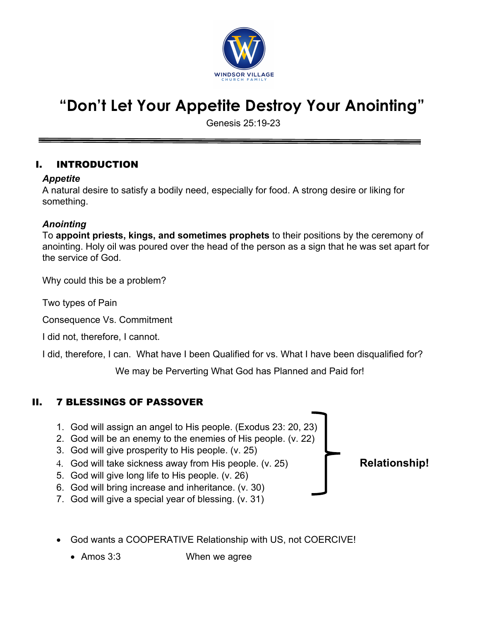

# **"Don't Let Your Appetite Destroy Your Anointing"**

Genesis 25:19-23

#### I. INTRODUCTION

#### *Appetite*

A natural desire to satisfy a bodily need, especially for food. A strong desire or liking for something.

#### *Anointing*

To **appoint priests, kings, and sometimes prophets** to their positions by the ceremony of anointing. Holy oil was poured over the head of the person as a sign that he was set apart for the service of God.

Why could this be a problem?

Two types of Pain

Consequence Vs. Commitment

I did not, therefore, I cannot.

I did, therefore, I can. What have I been Qualified for vs. What I have been disqualified for?

We may be Perverting What God has Planned and Paid for!

### II. 7 BLESSINGS OF PASSOVER

- 1. God will assign an angel to His people. (Exodus 23: 20, 23)
- 2. God will be an enemy to the enemies of His people. (v. 22)
- 3. God will give prosperity to His people. (v. 25)
- 4. God will take sickness away from His people. (v. 25) **Relationship!**
- 5. God will give long life to His people. (v. 26)
- 6. God will bring increase and inheritance. (v. 30)
- 7. God will give a special year of blessing. (v. 31)
- God wants a COOPERATIVE Relationship with US, not COERCIVE!
	- Amos 3:3 When we agree